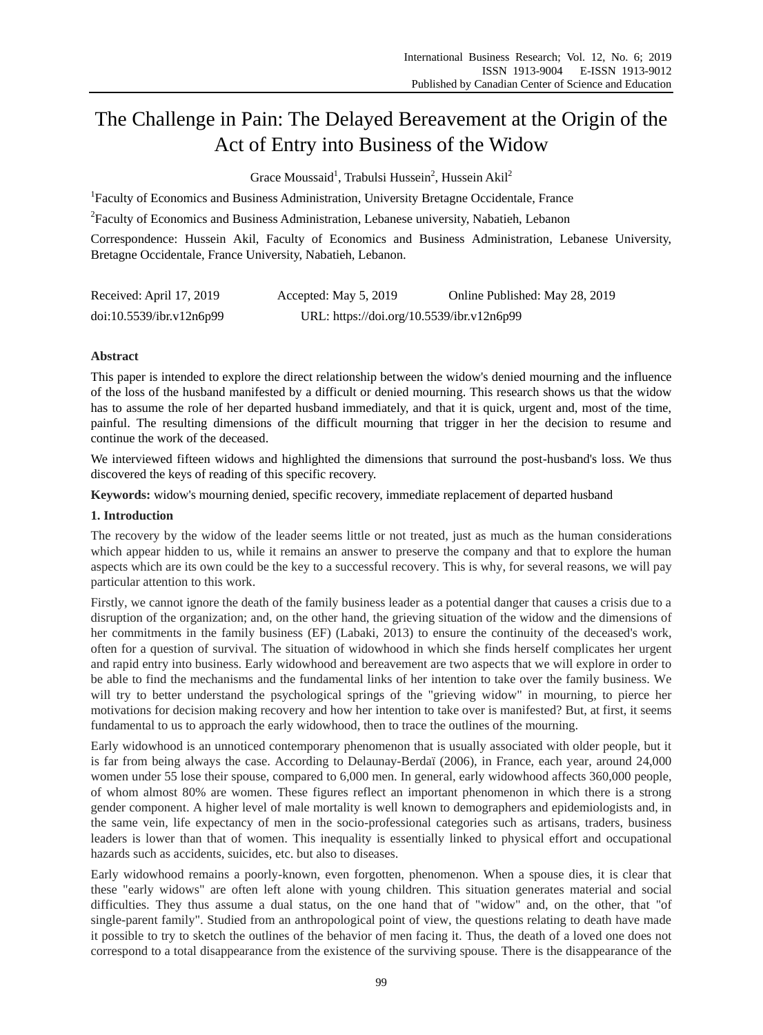# The Challenge in Pain: The Delayed Bereavement at the Origin of the Act of Entry into Business of the Widow

Grace Moussaid<sup>1</sup>, Trabulsi Hussein<sup>2</sup>, Hussein Akil<sup>2</sup>

<sup>1</sup>Faculty of Economics and Business Administration, University Bretagne Occidentale, France

<sup>2</sup> Faculty of Economics and Business Administration, Lebanese university, Nabatieh, Lebanon

Correspondence: Hussein Akil, Faculty of Economics and Business Administration, Lebanese University, Bretagne Occidentale, France University, Nabatieh, Lebanon.

| Received: April 17, 2019 | Accepted: May 5, 2019                     | Online Published: May 28, 2019 |
|--------------------------|-------------------------------------------|--------------------------------|
| doi:10.5539/ibr.v12n6p99 | URL: https://doi.org/10.5539/ibr.v12n6p99 |                                |

# **Abstract**

This paper is intended to explore the direct relationship between the widow's denied mourning and the influence of the loss of the husband manifested by a difficult or denied mourning. This research shows us that the widow has to assume the role of her departed husband immediately, and that it is quick, urgent and, most of the time, painful. The resulting dimensions of the difficult mourning that trigger in her the decision to resume and continue the work of the deceased.

We interviewed fifteen widows and highlighted the dimensions that surround the post-husband's loss. We thus discovered the keys of reading of this specific recovery.

**Keywords:** widow's mourning denied, specific recovery, immediate replacement of departed husband

## **1. Introduction**

The recovery by the widow of the leader seems little or not treated, just as much as the human considerations which appear hidden to us, while it remains an answer to preserve the company and that to explore the human aspects which are its own could be the key to a successful recovery. This is why, for several reasons, we will pay particular attention to this work.

Firstly, we cannot ignore the death of the family business leader as a potential danger that causes a crisis due to a disruption of the organization; and, on the other hand, the grieving situation of the widow and the dimensions of her commitments in the family business (EF) (Labaki, 2013) to ensure the continuity of the deceased's work, often for a question of survival. The situation of widowhood in which she finds herself complicates her urgent and rapid entry into business. Early widowhood and bereavement are two aspects that we will explore in order to be able to find the mechanisms and the fundamental links of her intention to take over the family business. We will try to better understand the psychological springs of the "grieving widow" in mourning, to pierce her motivations for decision making recovery and how her intention to take over is manifested? But, at first, it seems fundamental to us to approach the early widowhood, then to trace the outlines of the mourning.

Early widowhood is an unnoticed contemporary phenomenon that is usually associated with older people, but it is far from being always the case. According to Delaunay-Berdaï (2006), in France, each year, around 24,000 women under 55 lose their spouse, compared to 6,000 men. In general, early widowhood affects 360,000 people, of whom almost 80% are women. These figures reflect an important phenomenon in which there is a strong gender component. A higher level of male mortality is well known to demographers and epidemiologists and, in the same vein, life expectancy of men in the socio-professional categories such as artisans, traders, business leaders is lower than that of women. This inequality is essentially linked to physical effort and occupational hazards such as accidents, suicides, etc. but also to diseases.

Early widowhood remains a poorly-known, even forgotten, phenomenon. When a spouse dies, it is clear that these "early widows" are often left alone with young children. This situation generates material and social difficulties. They thus assume a dual status, on the one hand that of "widow" and, on the other, that "of single-parent family". Studied from an anthropological point of view, the questions relating to death have made it possible to try to sketch the outlines of the behavior of men facing it. Thus, the death of a loved one does not correspond to a total disappearance from the existence of the surviving spouse. There is the disappearance of the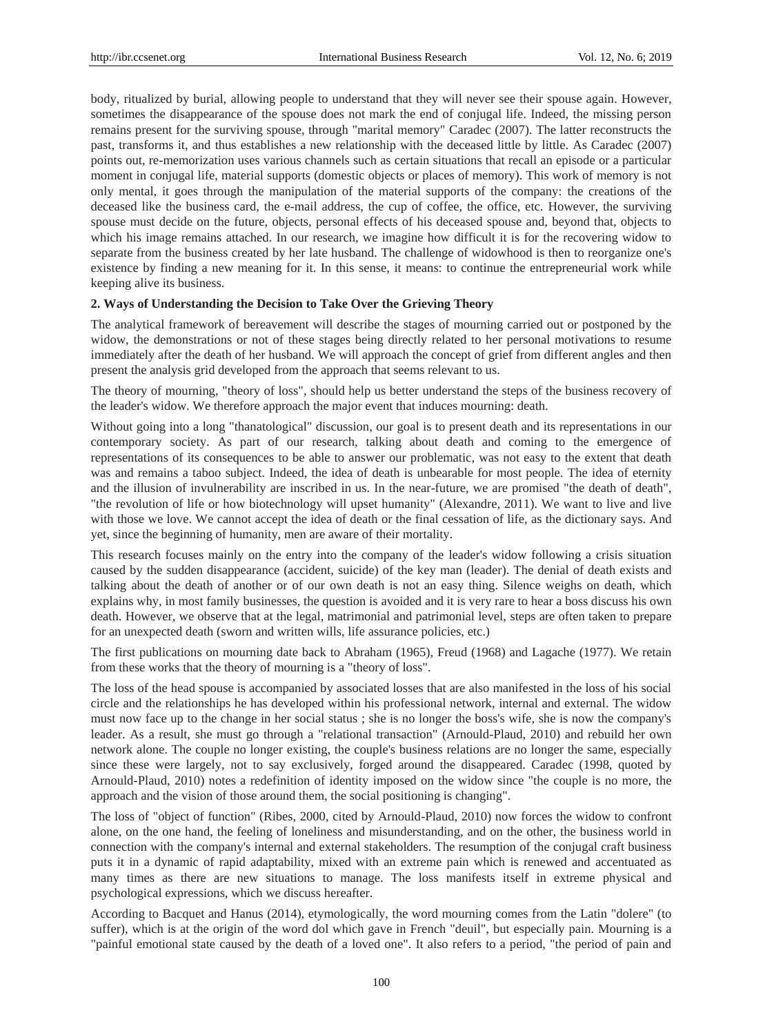body, ritualized by burial, allowing people to understand that they will never see their spouse again. However, sometimes the disappearance of the spouse does not mark the end of conjugal life. Indeed, the missing person remains present for the surviving spouse, through "marital memory" Caradec (2007). The latter reconstructs the past, transforms it, and thus establishes a new relationship with the deceased little by little. As Caradec (2007) points out, re-memorization uses various channels such as certain situations that recall an episode or a particular moment in conjugal life, material supports (domestic objects or places of memory). This work of memory is not only mental, it goes through the manipulation of the material supports of the company: the creations of the deceased like the business card, the e-mail address, the cup of coffee, the office, etc. However, the surviving spouse must decide on the future, objects, personal effects of his deceased spouse and, beyond that, objects to which his image remains attached. In our research, we imagine how difficult it is for the recovering widow to separate from the business created by her late husband. The challenge of widowhood is then to reorganize one's existence by finding a new meaning for it. In this sense, it means: to continue the entrepreneurial work while keeping alive its business.

# **2. Ways of Understanding the Decision to Take Over the Grieving Theory**

The analytical framework of bereavement will describe the stages of mourning carried out or postponed by the widow, the demonstrations or not of these stages being directly related to her personal motivations to resume immediately after the death of her husband. We will approach the concept of grief from different angles and then present the analysis grid developed from the approach that seems relevant to us.

The theory of mourning, "theory of loss", should help us better understand the steps of the business recovery of the leader's widow. We therefore approach the major event that induces mourning: death.

Without going into a long "thanatological" discussion, our goal is to present death and its representations in our contemporary society. As part of our research, talking about death and coming to the emergence of representations of its consequences to be able to answer our problematic, was not easy to the extent that death was and remains a taboo subject. Indeed, the idea of death is unbearable for most people. The idea of eternity and the illusion of invulnerability are inscribed in us. In the near-future, we are promised "the death of death", "the revolution of life or how biotechnology will upset humanity" (Alexandre, 2011). We want to live and live with those we love. We cannot accept the idea of death or the final cessation of life, as the dictionary says. And yet, since the beginning of humanity, men are aware of their mortality.

This research focuses mainly on the entry into the company of the leader's widow following a crisis situation caused by the sudden disappearance (accident, suicide) of the key man (leader). The denial of death exists and talking about the death of another or of our own death is not an easy thing. Silence weighs on death, which explains why, in most family businesses, the question is avoided and it is very rare to hear a boss discuss his own death. However, we observe that at the legal, matrimonial and patrimonial level, steps are often taken to prepare for an unexpected death (sworn and written wills, life assurance policies, etc.)

The first publications on mourning date back to Abraham (1965), Freud (1968) and Lagache (1977). We retain from these works that the theory of mourning is a "theory of loss".

The loss of the head spouse is accompanied by associated losses that are also manifested in the loss of his social circle and the relationships he has developed within his professional network, internal and external. The widow must now face up to the change in her social status ; she is no longer the boss's wife, she is now the company's leader. As a result, she must go through a "relational transaction" (Arnould-Plaud, 2010) and rebuild her own network alone. The couple no longer existing, the couple's business relations are no longer the same, especially since these were largely, not to say exclusively, forged around the disappeared. Caradec (1998, quoted by Arnould-Plaud, 2010) notes a redefinition of identity imposed on the widow since "the couple is no more, the approach and the vision of those around them, the social positioning is changing".

The loss of "object of function" (Ribes, 2000, cited by Arnould-Plaud, 2010) now forces the widow to confront alone, on the one hand, the feeling of loneliness and misunderstanding, and on the other, the business world in connection with the company's internal and external stakeholders. The resumption of the conjugal craft business puts it in a dynamic of rapid adaptability, mixed with an extreme pain which is renewed and accentuated as many times as there are new situations to manage. The loss manifests itself in extreme physical and psychological expressions, which we discuss hereafter.

According to Bacquet and Hanus (2014), etymologically, the word mourning comes from the Latin "dolere" (to suffer), which is at the origin of the word dol which gave in French "deuil", but especially pain. Mourning is a "painful emotional state caused by the death of a loved one". It also refers to a period, "the period of pain and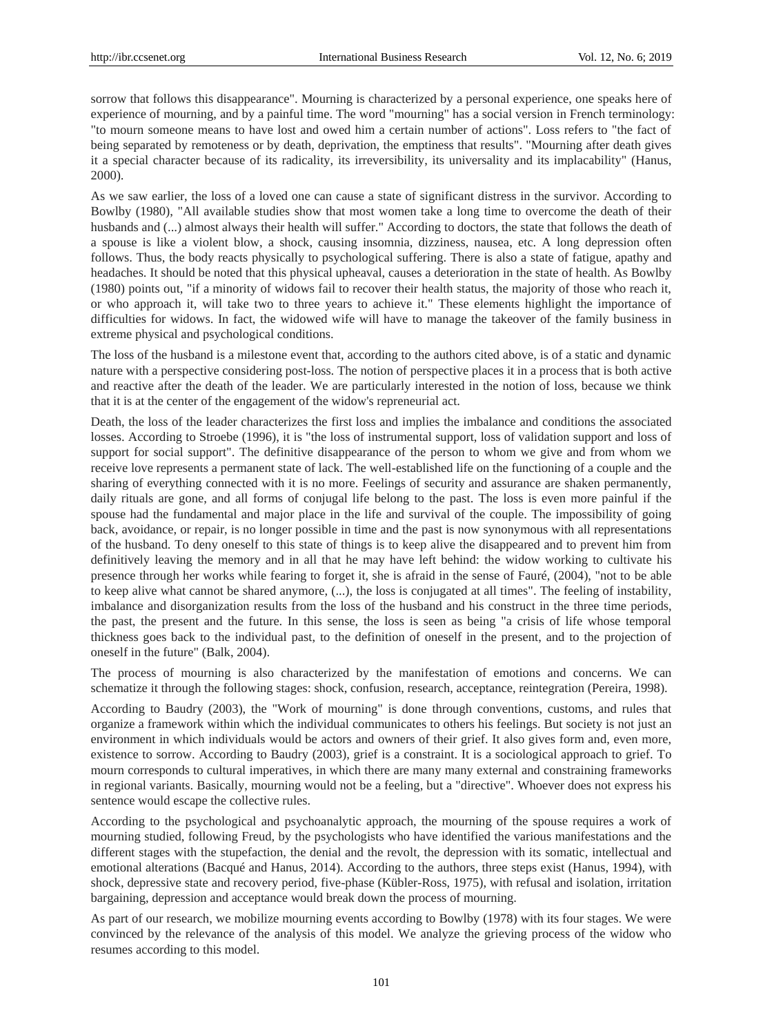sorrow that follows this disappearance". Mourning is characterized by a personal experience, one speaks here of experience of mourning, and by a painful time. The word "mourning" has a social version in French terminology: "to mourn someone means to have lost and owed him a certain number of actions". Loss refers to "the fact of being separated by remoteness or by death, deprivation, the emptiness that results". "Mourning after death gives it a special character because of its radicality, its irreversibility, its universality and its implacability" (Hanus, 2000).

As we saw earlier, the loss of a loved one can cause a state of significant distress in the survivor. According to Bowlby (1980), "All available studies show that most women take a long time to overcome the death of their husbands and  $(...)$  almost always their health will suffer." According to doctors, the state that follows the death of a spouse is like a violent blow, a shock, causing insomnia, dizziness, nausea, etc. A long depression often follows. Thus, the body reacts physically to psychological suffering. There is also a state of fatigue, apathy and headaches. It should be noted that this physical upheaval, causes a deterioration in the state of health. As Bowlby (1980) points out, "if a minority of widows fail to recover their health status, the majority of those who reach it, or who approach it, will take two to three years to achieve it." These elements highlight the importance of difficulties for widows. In fact, the widowed wife will have to manage the takeover of the family business in extreme physical and psychological conditions.

The loss of the husband is a milestone event that, according to the authors cited above, is of a static and dynamic nature with a perspective considering post-loss. The notion of perspective places it in a process that is both active and reactive after the death of the leader. We are particularly interested in the notion of loss, because we think that it is at the center of the engagement of the widow's repreneurial act.

Death, the loss of the leader characterizes the first loss and implies the imbalance and conditions the associated losses. According to Stroebe (1996), it is "the loss of instrumental support, loss of validation support and loss of support for social support". The definitive disappearance of the person to whom we give and from whom we receive love represents a permanent state of lack. The well-established life on the functioning of a couple and the sharing of everything connected with it is no more. Feelings of security and assurance are shaken permanently, daily rituals are gone, and all forms of conjugal life belong to the past. The loss is even more painful if the spouse had the fundamental and major place in the life and survival of the couple. The impossibility of going back, avoidance, or repair, is no longer possible in time and the past is now synonymous with all representations of the husband. To deny oneself to this state of things is to keep alive the disappeared and to prevent him from definitively leaving the memory and in all that he may have left behind: the widow working to cultivate his presence through her works while fearing to forget it, she is afraid in the sense of Fauré, (2004), "not to be able to keep alive what cannot be shared anymore, (...), the loss is conjugated at all times". The feeling of instability, imbalance and disorganization results from the loss of the husband and his construct in the three time periods, the past, the present and the future. In this sense, the loss is seen as being "a crisis of life whose temporal thickness goes back to the individual past, to the definition of oneself in the present, and to the projection of oneself in the future" (Balk, 2004).

The process of mourning is also characterized by the manifestation of emotions and concerns. We can schematize it through the following stages: shock, confusion, research, acceptance, reintegration (Pereira, 1998).

According to Baudry (2003), the "Work of mourning" is done through conventions, customs, and rules that organize a framework within which the individual communicates to others his feelings. But society is not just an environment in which individuals would be actors and owners of their grief. It also gives form and, even more, existence to sorrow. According to Baudry (2003), grief is a constraint. It is a sociological approach to grief. To mourn corresponds to cultural imperatives, in which there are many many external and constraining frameworks in regional variants. Basically, mourning would not be a feeling, but a "directive". Whoever does not express his sentence would escape the collective rules.

According to the psychological and psychoanalytic approach, the mourning of the spouse requires a work of mourning studied, following Freud, by the psychologists who have identified the various manifestations and the different stages with the stupefaction, the denial and the revolt, the depression with its somatic, intellectual and emotional alterations (Bacqué and Hanus, 2014). According to the authors, three steps exist (Hanus, 1994), with shock, depressive state and recovery period, five-phase (Kübler-Ross, 1975), with refusal and isolation, irritation bargaining, depression and acceptance would break down the process of mourning.

As part of our research, we mobilize mourning events according to Bowlby (1978) with its four stages. We were convinced by the relevance of the analysis of this model. We analyze the grieving process of the widow who resumes according to this model.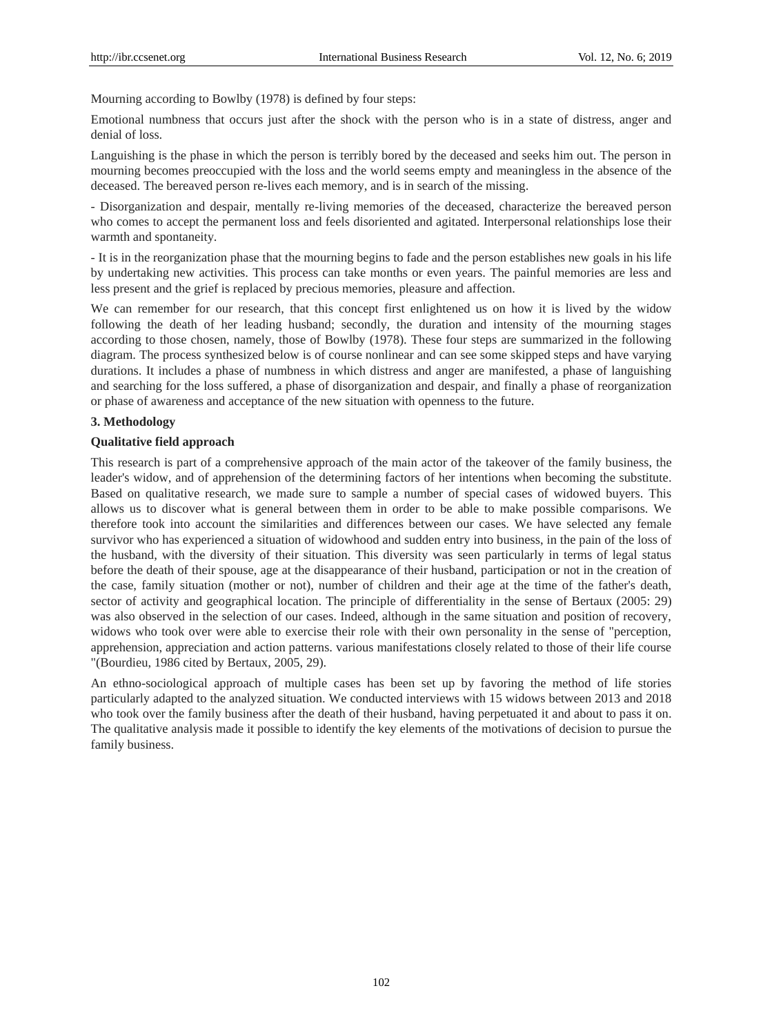Mourning according to Bowlby (1978) is defined by four steps:

Emotional numbness that occurs just after the shock with the person who is in a state of distress, anger and denial of loss.

Languishing is the phase in which the person is terribly bored by the deceased and seeks him out. The person in mourning becomes preoccupied with the loss and the world seems empty and meaningless in the absence of the deceased. The bereaved person re-lives each memory, and is in search of the missing.

- Disorganization and despair, mentally re-living memories of the deceased, characterize the bereaved person who comes to accept the permanent loss and feels disoriented and agitated. Interpersonal relationships lose their warmth and spontaneity.

- It is in the reorganization phase that the mourning begins to fade and the person establishes new goals in his life by undertaking new activities. This process can take months or even years. The painful memories are less and less present and the grief is replaced by precious memories, pleasure and affection.

We can remember for our research, that this concept first enlightened us on how it is lived by the widow following the death of her leading husband; secondly, the duration and intensity of the mourning stages according to those chosen, namely, those of Bowlby (1978). These four steps are summarized in the following diagram. The process synthesized below is of course nonlinear and can see some skipped steps and have varying durations. It includes a phase of numbness in which distress and anger are manifested, a phase of languishing and searching for the loss suffered, a phase of disorganization and despair, and finally a phase of reorganization or phase of awareness and acceptance of the new situation with openness to the future.

# **3. Methodology**

### **Qualitative field approach**

This research is part of a comprehensive approach of the main actor of the takeover of the family business, the leader's widow, and of apprehension of the determining factors of her intentions when becoming the substitute. Based on qualitative research, we made sure to sample a number of special cases of widowed buyers. This allows us to discover what is general between them in order to be able to make possible comparisons. We therefore took into account the similarities and differences between our cases. We have selected any female survivor who has experienced a situation of widowhood and sudden entry into business, in the pain of the loss of the husband, with the diversity of their situation. This diversity was seen particularly in terms of legal status before the death of their spouse, age at the disappearance of their husband, participation or not in the creation of the case, family situation (mother or not), number of children and their age at the time of the father's death, sector of activity and geographical location. The principle of differentiality in the sense of Bertaux (2005: 29) was also observed in the selection of our cases. Indeed, although in the same situation and position of recovery, widows who took over were able to exercise their role with their own personality in the sense of "perception, apprehension, appreciation and action patterns. various manifestations closely related to those of their life course "(Bourdieu, 1986 cited by Bertaux, 2005, 29).

An ethno-sociological approach of multiple cases has been set up by favoring the method of life stories particularly adapted to the analyzed situation. We conducted interviews with 15 widows between 2013 and 2018 who took over the family business after the death of their husband, having perpetuated it and about to pass it on. The qualitative analysis made it possible to identify the key elements of the motivations of decision to pursue the family business.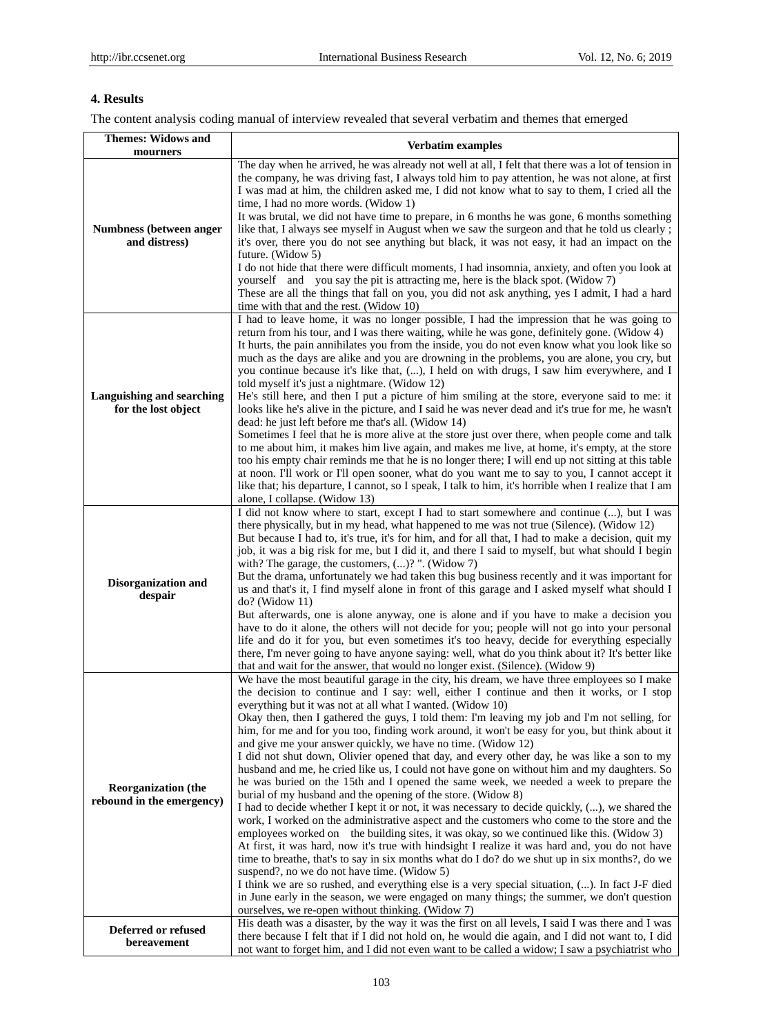# **4. Results**

The content analysis coding manual of interview revealed that several verbatim and themes that emerged

| <b>Themes: Widows and</b><br>mourners                   | Verbatim examples                                                                                                                                                                                                                                                                                                                                                                                                                                                                                                                                                                                                                                                                                                                                                                                                                                                                                                                                                                                                                                                                                                                                                                                                                                                                                                                                                                                                                                                                                                                                                                                                                                                                      |  |
|---------------------------------------------------------|----------------------------------------------------------------------------------------------------------------------------------------------------------------------------------------------------------------------------------------------------------------------------------------------------------------------------------------------------------------------------------------------------------------------------------------------------------------------------------------------------------------------------------------------------------------------------------------------------------------------------------------------------------------------------------------------------------------------------------------------------------------------------------------------------------------------------------------------------------------------------------------------------------------------------------------------------------------------------------------------------------------------------------------------------------------------------------------------------------------------------------------------------------------------------------------------------------------------------------------------------------------------------------------------------------------------------------------------------------------------------------------------------------------------------------------------------------------------------------------------------------------------------------------------------------------------------------------------------------------------------------------------------------------------------------------|--|
|                                                         | The day when he arrived, he was already not well at all, I felt that there was a lot of tension in                                                                                                                                                                                                                                                                                                                                                                                                                                                                                                                                                                                                                                                                                                                                                                                                                                                                                                                                                                                                                                                                                                                                                                                                                                                                                                                                                                                                                                                                                                                                                                                     |  |
| Numbness (between anger<br>and distress)                | the company, he was driving fast, I always told him to pay attention, he was not alone, at first<br>I was mad at him, the children asked me, I did not know what to say to them, I cried all the<br>time, I had no more words. (Widow 1)<br>It was brutal, we did not have time to prepare, in 6 months he was gone, 6 months something                                                                                                                                                                                                                                                                                                                                                                                                                                                                                                                                                                                                                                                                                                                                                                                                                                                                                                                                                                                                                                                                                                                                                                                                                                                                                                                                                |  |
|                                                         | like that, I always see myself in August when we saw the surgeon and that he told us clearly;<br>it's over, there you do not see anything but black, it was not easy, it had an impact on the<br>future. (Widow 5)                                                                                                                                                                                                                                                                                                                                                                                                                                                                                                                                                                                                                                                                                                                                                                                                                                                                                                                                                                                                                                                                                                                                                                                                                                                                                                                                                                                                                                                                     |  |
|                                                         | I do not hide that there were difficult moments, I had insomnia, anxiety, and often you look at<br>yourself and you say the pit is attracting me, here is the black spot. (Widow 7)<br>These are all the things that fall on you, you did not ask anything, yes I admit, I had a hard<br>time with that and the rest. (Widow 10)                                                                                                                                                                                                                                                                                                                                                                                                                                                                                                                                                                                                                                                                                                                                                                                                                                                                                                                                                                                                                                                                                                                                                                                                                                                                                                                                                       |  |
| Languishing and searching<br>for the lost object        | I had to leave home, it was no longer possible, I had the impression that he was going to<br>return from his tour, and I was there waiting, while he was gone, definitely gone. (Widow 4)<br>It hurts, the pain annihilates you from the inside, you do not even know what you look like so<br>much as the days are alike and you are drowning in the problems, you are alone, you cry, but<br>you continue because it's like that, (), I held on with drugs, I saw him everywhere, and I<br>told myself it's just a nightmare. (Widow 12)<br>He's still here, and then I put a picture of him smiling at the store, everyone said to me: it                                                                                                                                                                                                                                                                                                                                                                                                                                                                                                                                                                                                                                                                                                                                                                                                                                                                                                                                                                                                                                           |  |
|                                                         | looks like he's alive in the picture, and I said he was never dead and it's true for me, he wasn't<br>dead: he just left before me that's all. (Widow 14)<br>Sometimes I feel that he is more alive at the store just over there, when people come and talk<br>to me about him, it makes him live again, and makes me live, at home, it's empty, at the store<br>too his empty chair reminds me that he is no longer there; I will end up not sitting at this table<br>at noon. I'll work or I'll open sooner, what do you want me to say to you, I cannot accept it<br>like that; his departure, I cannot, so I speak, I talk to him, it's horrible when I realize that I am<br>alone, I collapse. (Widow 13)                                                                                                                                                                                                                                                                                                                                                                                                                                                                                                                                                                                                                                                                                                                                                                                                                                                                                                                                                                         |  |
| Disorganization and<br>despair                          | I did not know where to start, except I had to start somewhere and continue (), but I was<br>there physically, but in my head, what happened to me was not true (Silence). (Widow 12)<br>But because I had to, it's true, it's for him, and for all that, I had to make a decision, quit my<br>job, it was a big risk for me, but I did it, and there I said to myself, but what should I begin<br>with? The garage, the customers, $()?$ ". (Widow 7)<br>But the drama, unfortunately we had taken this bug business recently and it was important for<br>us and that's it, I find myself alone in front of this garage and I asked myself what should I<br>$do?$ (Widow 11)<br>But afterwards, one is alone anyway, one is alone and if you have to make a decision you<br>have to do it alone, the others will not decide for you; people will not go into your personal<br>life and do it for you, but even sometimes it's too heavy, decide for everything especially<br>there, I'm never going to have anyone saying: well, what do you think about it? It's better like<br>that and wait for the answer, that would no longer exist. (Silence). (Widow 9)                                                                                                                                                                                                                                                                                                                                                                                                                                                                                                                       |  |
| <b>Reorganization</b> (the<br>rebound in the emergency) | We have the most beautiful garage in the city, his dream, we have three employees so I make<br>the decision to continue and I say: well, either I continue and then it works, or I stop<br>everything but it was not at all what I wanted. (Widow 10)<br>Okay then, then I gathered the guys, I told them: I'm leaving my job and I'm not selling, for<br>him, for me and for you too, finding work around, it won't be easy for you, but think about it<br>and give me your answer quickly, we have no time. (Widow 12)<br>I did not shut down, Olivier opened that day, and every other day, he was like a son to my<br>husband and me, he cried like us, I could not have gone on without him and my daughters. So<br>he was buried on the 15th and I opened the same week, we needed a week to prepare the<br>burial of my husband and the opening of the store. (Widow 8)<br>I had to decide whether I kept it or not, it was necessary to decide quickly, (), we shared the<br>work, I worked on the administrative aspect and the customers who come to the store and the<br>employees worked on the building sites, it was okay, so we continued like this. (Widow 3)<br>At first, it was hard, now it's true with hindsight I realize it was hard and, you do not have<br>time to breathe, that's to say in six months what do I do? do we shut up in six months?, do we<br>suspend?, no we do not have time. (Widow 5)<br>I think we are so rushed, and everything else is a very special situation, (). In fact J-F died<br>in June early in the season, we were engaged on many things; the summer, we don't question<br>ourselves, we re-open without thinking. (Widow 7) |  |
| Deferred or refused<br>bereavement                      | His death was a disaster, by the way it was the first on all levels, I said I was there and I was<br>there because I felt that if I did not hold on, he would die again, and I did not want to, I did<br>not want to forget him, and I did not even want to be called a widow; I saw a psychiatrist who                                                                                                                                                                                                                                                                                                                                                                                                                                                                                                                                                                                                                                                                                                                                                                                                                                                                                                                                                                                                                                                                                                                                                                                                                                                                                                                                                                                |  |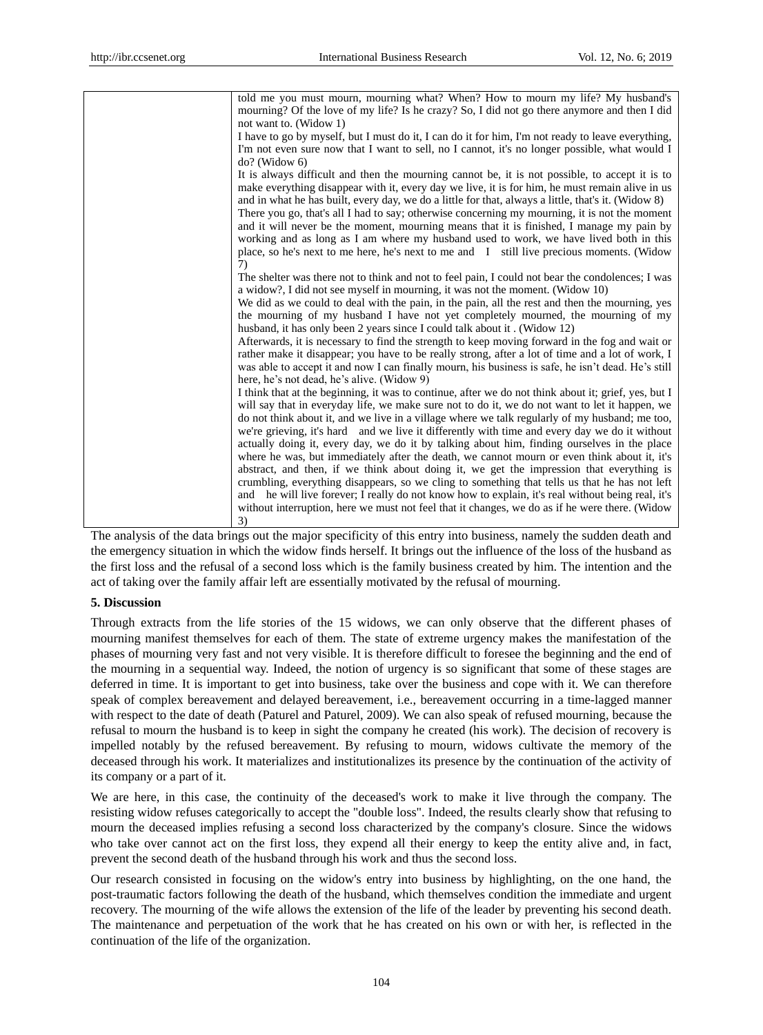| told me you must mourn, mourning what? When? How to mourn my life? My husband's<br>mourning? Of the love of my life? Is he crazy? So, I did not go there anymore and then I did<br>not want to. (Widow 1)                                                                                                                                                                                                                                                                                                                                                                                                                                                                                                                                                                                                                                                                                                                                                                                                         |
|-------------------------------------------------------------------------------------------------------------------------------------------------------------------------------------------------------------------------------------------------------------------------------------------------------------------------------------------------------------------------------------------------------------------------------------------------------------------------------------------------------------------------------------------------------------------------------------------------------------------------------------------------------------------------------------------------------------------------------------------------------------------------------------------------------------------------------------------------------------------------------------------------------------------------------------------------------------------------------------------------------------------|
| I have to go by myself, but I must do it, I can do it for him, I'm not ready to leave everything,<br>I'm not even sure now that I want to sell, no I cannot, it's no longer possible, what would I                                                                                                                                                                                                                                                                                                                                                                                                                                                                                                                                                                                                                                                                                                                                                                                                                |
| $do?$ (Widow 6)<br>It is always difficult and then the mourning cannot be, it is not possible, to accept it is to<br>make everything disappear with it, every day we live, it is for him, he must remain alive in us<br>and in what he has built, every day, we do a little for that, always a little, that's it. (Widow 8)<br>There you go, that's all I had to say; otherwise concerning my mourning, it is not the moment<br>and it will never be the moment, mourning means that it is finished, I manage my pain by<br>working and as long as I am where my husband used to work, we have lived both in this<br>place, so he's next to me here, he's next to me and I still live precious moments. (Widow<br>7)                                                                                                                                                                                                                                                                                              |
| The shelter was there not to think and not to feel pain, I could not bear the condolences; I was<br>a widow?, I did not see myself in mourning, it was not the moment. (Widow 10)<br>We did as we could to deal with the pain, in the pain, all the rest and then the mourning, yes<br>the mourning of my husband I have not yet completely mourned, the mourning of my<br>husband, it has only been 2 years since I could talk about it. (Widow 12)<br>Afterwards, it is necessary to find the strength to keep moving forward in the fog and wait or<br>rather make it disappear; you have to be really strong, after a lot of time and a lot of work, I<br>was able to accept it and now I can finally mourn, his business is safe, he isn't dead. He's still<br>here, he's not dead, he's alive. (Widow 9)                                                                                                                                                                                                    |
| I think that at the beginning, it was to continue, after we do not think about it; grief, yes, but I<br>will say that in everyday life, we make sure not to do it, we do not want to let it happen, we<br>do not think about it, and we live in a village where we talk regularly of my husband; me too,<br>we're grieving, it's hard and we live it differently with time and every day we do it without<br>actually doing it, every day, we do it by talking about him, finding ourselves in the place<br>where he was, but immediately after the death, we cannot mourn or even think about it, it's<br>abstract, and then, if we think about doing it, we get the impression that everything is<br>crumbling, everything disappears, so we cling to something that tells us that he has not left<br>and he will live forever; I really do not know how to explain, it's real without being real, it's<br>without interruption, here we must not feel that it changes, we do as if he were there. (Widow<br>3) |

The analysis of the data brings out the major specificity of this entry into business, namely the sudden death and the emergency situation in which the widow finds herself. It brings out the influence of the loss of the husband as the first loss and the refusal of a second loss which is the family business created by him. The intention and the act of taking over the family affair left are essentially motivated by the refusal of mourning.

# **5. Discussion**

Through extracts from the life stories of the 15 widows, we can only observe that the different phases of mourning manifest themselves for each of them. The state of extreme urgency makes the manifestation of the phases of mourning very fast and not very visible. It is therefore difficult to foresee the beginning and the end of the mourning in a sequential way. Indeed, the notion of urgency is so significant that some of these stages are deferred in time. It is important to get into business, take over the business and cope with it. We can therefore speak of complex bereavement and delayed bereavement, i.e., bereavement occurring in a time-lagged manner with respect to the date of death (Paturel and Paturel, 2009). We can also speak of refused mourning, because the refusal to mourn the husband is to keep in sight the company he created (his work). The decision of recovery is impelled notably by the refused bereavement. By refusing to mourn, widows cultivate the memory of the deceased through his work. It materializes and institutionalizes its presence by the continuation of the activity of its company or a part of it.

We are here, in this case, the continuity of the deceased's work to make it live through the company. The resisting widow refuses categorically to accept the "double loss". Indeed, the results clearly show that refusing to mourn the deceased implies refusing a second loss characterized by the company's closure. Since the widows who take over cannot act on the first loss, they expend all their energy to keep the entity alive and, in fact, prevent the second death of the husband through his work and thus the second loss.

Our research consisted in focusing on the widow's entry into business by highlighting, on the one hand, the post-traumatic factors following the death of the husband, which themselves condition the immediate and urgent recovery. The mourning of the wife allows the extension of the life of the leader by preventing his second death. The maintenance and perpetuation of the work that he has created on his own or with her, is reflected in the continuation of the life of the organization.